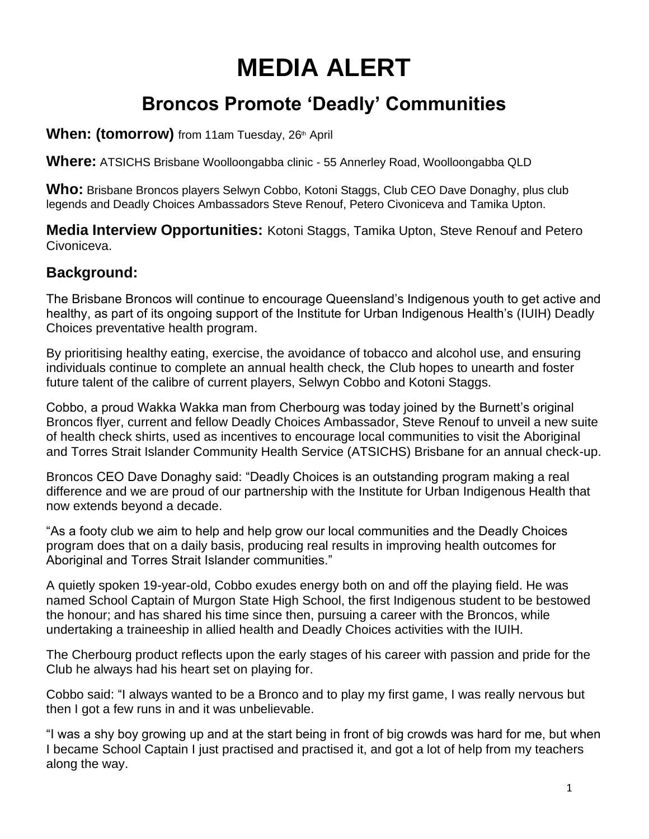# **MEDIA ALERT**

# **Broncos Promote 'Deadly' Communities**

### **When: (tomorrow)** from 11am Tuesday, 26<sup>th</sup> April

**Where:** ATSICHS Brisbane Woolloongabba clinic - 55 Annerley Road, Woolloongabba QLD

**Who:** Brisbane Broncos players Selwyn Cobbo, Kotoni Staggs, Club CEO Dave Donaghy, plus club legends and Deadly Choices Ambassadors Steve Renouf, Petero Civoniceva and Tamika Upton.

**Media Interview Opportunities:** Kotoni Staggs, Tamika Upton, Steve Renouf and Petero Civoniceva.

## **Background:**

The Brisbane Broncos will continue to encourage Queensland's Indigenous youth to get active and healthy, as part of its ongoing support of the Institute for Urban Indigenous Health's (IUIH) Deadly Choices preventative health program.

By prioritising healthy eating, exercise, the avoidance of tobacco and alcohol use, and ensuring individuals continue to complete an annual health check, the Club hopes to unearth and foster future talent of the calibre of current players, Selwyn Cobbo and Kotoni Staggs.

Cobbo, a proud Wakka Wakka man from Cherbourg was today joined by the Burnett's original Broncos flyer, current and fellow Deadly Choices Ambassador, Steve Renouf to unveil a new suite of health check shirts, used as incentives to encourage local communities to visit the Aboriginal and Torres Strait Islander Community Health Service (ATSICHS) Brisbane for an annual check-up.

Broncos CEO Dave Donaghy said: "Deadly Choices is an outstanding program making a real difference and we are proud of our partnership with the Institute for Urban Indigenous Health that now extends beyond a decade.

"As a footy club we aim to help and help grow our local communities and the Deadly Choices program does that on a daily basis, producing real results in improving health outcomes for Aboriginal and Torres Strait Islander communities."

A quietly spoken 19-year-old, Cobbo exudes energy both on and off the playing field. He was named School Captain of Murgon State High School, the first Indigenous student to be bestowed the honour; and has shared his time since then, pursuing a career with the Broncos, while undertaking a traineeship in allied health and Deadly Choices activities with the IUIH.

The Cherbourg product reflects upon the early stages of his career with passion and pride for the Club he always had his heart set on playing for.

Cobbo said: "I always wanted to be a Bronco and to play my first game, I was really nervous but then I got a few runs in and it was unbelievable.

"I was a shy boy growing up and at the start being in front of big crowds was hard for me, but when I became School Captain I just practised and practised it, and got a lot of help from my teachers along the way.